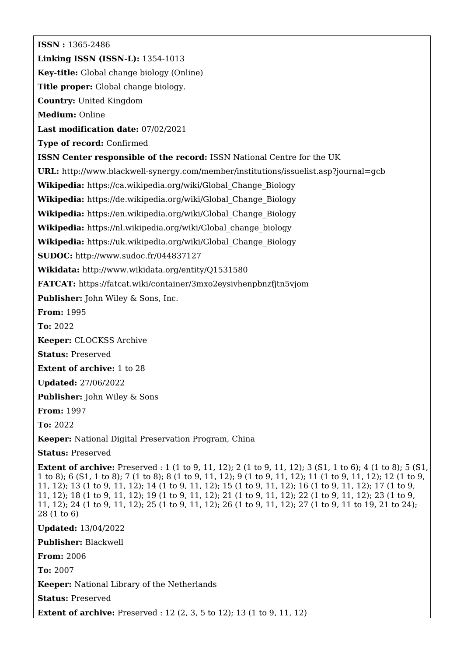**ISSN :** 1365-2486 **Linking ISSN (ISSN-L):** 1354-1013 **Key-title:** Global change biology (Online) **Title proper:** Global change biology. **Country:** United Kingdom **Medium:** Online **Last modification date:** 07/02/2021 **Type of record:** Confirmed **ISSN Center responsible of the record:** ISSN National Centre for the UK **URL:** <http://www.blackwell-synergy.com/member/institutions/issuelist.asp?journal=gcb> **Wikipedia:** [https://ca.wikipedia.org/wiki/Global\\_Change\\_Biology](https://ca.wikipedia.org/wiki/Global_Change_Biology) **Wikipedia:** [https://de.wikipedia.org/wiki/Global\\_Change\\_Biology](https://de.wikipedia.org/wiki/Global_Change_Biology) **Wikipedia:** [https://en.wikipedia.org/wiki/Global\\_Change\\_Biology](https://en.wikipedia.org/wiki/Global_Change_Biology) **Wikipedia:** [https://nl.wikipedia.org/wiki/Global\\_change\\_biology](https://nl.wikipedia.org/wiki/Global_change_biology) **Wikipedia:** [https://uk.wikipedia.org/wiki/Global\\_Change\\_Biology](https://uk.wikipedia.org/wiki/Global_Change_Biology) **SUDOC:** <http://www.sudoc.fr/044837127> **Wikidata:** <http://www.wikidata.org/entity/Q1531580> **FATCAT:** <https://fatcat.wiki/container/3mxo2eysivhenpbnzfjtn5vjom> **Publisher:** John Wiley & Sons, Inc. **From:** 1995 **To:** 2022 **Keeper:** CLOCKSS Archive **Status:** Preserved **Extent of archive:** 1 to 28 **Updated:** 27/06/2022 **Publisher:** John Wiley & Sons **From:** 1997 **To:** 2022 **Keeper:** National Digital Preservation Program, China **Status:** Preserved **Extent of archive:** Preserved : 1 (1 to 9, 11, 12); 2 (1 to 9, 11, 12); 3 (S1, 1 to 6); 4 (1 to 8); 5 (S1, 1 to 8); 6 (S1, 1 to 8); 7 (1 to 8); 8 (1 to 9, 11, 12); 9 (1 to 9, 11, 12); 11 (1 to 9, 11, 12); 12 (1 to 9, 11, 12); 13 (1 to 9, 11, 12); 14 (1 to 9, 11, 12); 15 (1 to 9, 11, 12); 16 (1 to 9, 11, 12); 17 (1 to 9, 11, 12); 18 (1 to 9, 11, 12); 19 (1 to 9, 11, 12); 21 (1 to 9, 11, 12); 22 (1 to 9, 11, 12); 23 (1 to 9, 11, 12); 24 (1 to 9, 11, 12); 25 (1 to 9, 11, 12); 26 (1 to 9, 11, 12); 27 (1 to 9, 11 to 19, 21 to 24); 28 (1 to 6) **Updated:** 13/04/2022 **Publisher:** Blackwell **From:** 2006 **To:** 2007 **Keeper:** National Library of the Netherlands **Status:** Preserved **Extent of archive:** Preserved : 12 (2, 3, 5 to 12); 13 (1 to 9, 11, 12)